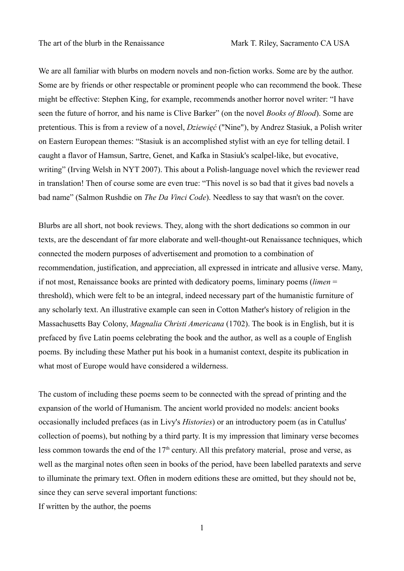We are all familiar with blurbs on modern novels and non-fiction works. Some are by the author. Some are by friends or other respectable or prominent people who can recommend the book. These might be effective: Stephen King, for example, recommends another horror novel writer: "I have seen the future of horror, and his name is Clive Barker" (on the novel *Books of Blood*). Some are pretentious. This is from a review of a novel, *Dziewięć* ("Nine"), by Andrez Stasiuk, a Polish writer on Eastern European themes: "Stasiuk is an accomplished stylist with an eye for telling detail. I caught a flavor of Hamsun, Sartre, Genet, and Kafka in Stasiuk's scalpel-like, but evocative, writing" (Irving Welsh in NYT 2007). This about a Polish-language novel which the reviewer read in translation! Then of course some are even true: "This novel is so bad that it gives bad novels a bad name" (Salmon Rushdie on *The Da Vinci Code*). Needless to say that wasn't on the cover.

Blurbs are all short, not book reviews. They, along with the short dedications so common in our texts, are the descendant of far more elaborate and well-thought-out Renaissance techniques, which connected the modern purposes of advertisement and promotion to a combination of recommendation, justification, and appreciation, all expressed in intricate and allusive verse. Many, if not most, Renaissance books are printed with dedicatory poems, liminary poems (*limen* = threshold), which were felt to be an integral, indeed necessary part of the humanistic furniture of any scholarly text. An illustrative example can seen in Cotton Mather's history of religion in the Massachusetts Bay Colony, *Magnalia Christi Americana* (1702). The book is in English, but it is prefaced by five Latin poems celebrating the book and the author, as well as a couple of English poems. By including these Mather put his book in a humanist context, despite its publication in what most of Europe would have considered a wilderness.

The custom of including these poems seem to be connected with the spread of printing and the expansion of the world of Humanism. The ancient world provided no models: ancient books occasionally included prefaces (as in Livy's *Histories*) or an introductory poem (as in Catullus' collection of poems), but nothing by a third party. It is my impression that liminary verse becomes less common towards the end of the  $17<sup>th</sup>$  century. All this prefatory material, prose and verse, as well as the marginal notes often seen in books of the period, have been labelled paratexts and serve to illuminate the primary text. Often in modern editions these are omitted, but they should not be, since they can serve several important functions:

If written by the author, the poems

1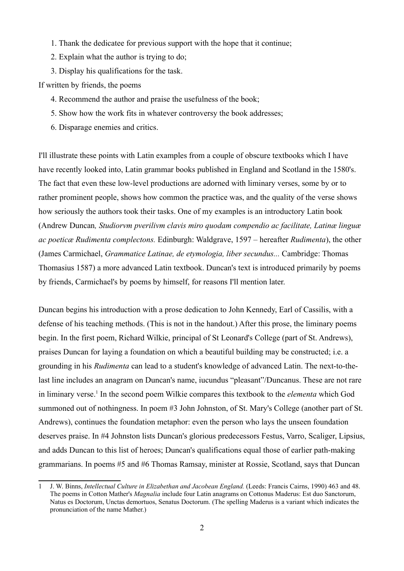- 1. Thank the dedicatee for previous support with the hope that it continue;
- 2. Explain what the author is trying to do;
- 3. Display his qualifications for the task.

If written by friends, the poems

- 4. Recommend the author and praise the usefulness of the book;
- 5. Show how the work fits in whatever controversy the book addresses;
- 6. Disparage enemies and critics.

I'll illustrate these points with Latin examples from a couple of obscure textbooks which I have have recently looked into, Latin grammar books published in England and Scotland in the 1580's. The fact that even these low-level productions are adorned with liminary verses, some by or to rather prominent people, shows how common the practice was, and the quality of the verse shows how seriously the authors took their tasks. One of my examples is an introductory Latin book (Andrew Duncan*, Studiorvm pverilivm clavis miro quodam compendio ac facilitate, Latinæ linguæ ac poeticæ Rudimenta complectons.* Edinburgh: Waldgrave, 1597 – hereafter *Rudimenta*), the other (James Carmichael, *Grammatice Latinae, de etymologia, liber secundus...* Cambridge: Thomas Thomasius 1587) a more advanced Latin textbook. Duncan's text is introduced primarily by poems by friends, Carmichael's by poems by himself, for reasons I'll mention later.

Duncan begins his introduction with a prose dedication to John Kennedy, Earl of Cassilis, with a defense of his teaching methods. (This is not in the handout.) After this prose, the liminary poems begin. In the first poem, Richard Wilkie, principal of St Leonard's College (part of St. Andrews), praises Duncan for laying a foundation on which a beautiful building may be constructed; i.e. a grounding in his *Rudimenta* can lead to a student's knowledge of advanced Latin. The next-to-thelast line includes an anagram on Duncan's name, iucundus "pleasant"/Duncanus. These are not rare in liminary verse. <sup>1</sup> In the second poem Wilkie compares this textbook to the *elementa* which God summoned out of nothingness. In poem #3 John Johnston, of St. Mary's College (another part of St. Andrews), continues the foundation metaphor: even the person who lays the unseen foundation deserves praise. In #4 Johnston lists Duncan's glorious predecessors Festus, Varro, Scaliger, Lipsius, and adds Duncan to this list of heroes; Duncan's qualifications equal those of earlier path-making grammarians. In poems #5 and #6 Thomas Ramsay, minister at Rossie, Scotland, says that Duncan

<sup>1</sup> J. W. Binns, *Intellectual Culture in Elizabethan and Jacobean England.* (Leeds: Francis Cairns, 1990) 463 and 48. The poems in Cotton Mather's *Magnalia* include four Latin anagrams on Cottonus Maderus: Est duo Sanctorum, Natus es Doctorum, Unctas demortuos, Senatus Doctorum. (The spelling Maderus is a variant which indicates the pronunciation of the name Mather.)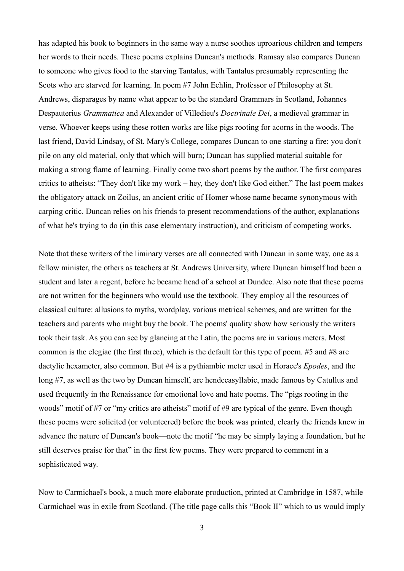has adapted his book to beginners in the same way a nurse soothes uproarious children and tempers her words to their needs. These poems explains Duncan's methods. Ramsay also compares Duncan to someone who gives food to the starving Tantalus, with Tantalus presumably representing the Scots who are starved for learning. In poem #7 John Echlin, Professor of Philosophy at St. Andrews, disparages by name what appear to be the standard Grammars in Scotland, Johannes Despauterius *Grammatica* and Alexander of Villedieu's *Doctrinale Dei*, a medieval grammar in verse. Whoever keeps using these rotten works are like pigs rooting for acorns in the woods. The last friend, David Lindsay, of St. Mary's College, compares Duncan to one starting a fire: you don't pile on any old material, only that which will burn; Duncan has supplied material suitable for making a strong flame of learning. Finally come two short poems by the author. The first compares critics to atheists: "They don't like my work – hey, they don't like God either." The last poem makes the obligatory attack on Zoilus, an ancient critic of Homer whose name became synonymous with carping critic. Duncan relies on his friends to present recommendations of the author, explanations of what he's trying to do (in this case elementary instruction), and criticism of competing works.

Note that these writers of the liminary verses are all connected with Duncan in some way, one as a fellow minister, the others as teachers at St. Andrews University, where Duncan himself had been a student and later a regent, before he became head of a school at Dundee. Also note that these poems are not written for the beginners who would use the textbook. They employ all the resources of classical culture: allusions to myths, wordplay, various metrical schemes, and are written for the teachers and parents who might buy the book. The poems' quality show how seriously the writers took their task. As you can see by glancing at the Latin, the poems are in various meters. Most common is the elegiac (the first three), which is the default for this type of poem. #5 and #8 are dactylic hexameter, also common. But #4 is a pythiambic meter used in Horace's *Epodes*, and the long #7, as well as the two by Duncan himself, are hendecasyllabic, made famous by Catullus and used frequently in the Renaissance for emotional love and hate poems. The "pigs rooting in the woods" motif of #7 or "my critics are atheists" motif of #9 are typical of the genre. Even though these poems were solicited (or volunteered) before the book was printed, clearly the friends knew in advance the nature of Duncan's book—note the motif "he may be simply laying a foundation, but he still deserves praise for that" in the first few poems. They were prepared to comment in a sophisticated way.

Now to Carmichael's book, a much more elaborate production, printed at Cambridge in 1587, while Carmichael was in exile from Scotland. (The title page calls this "Book II" which to us would imply

3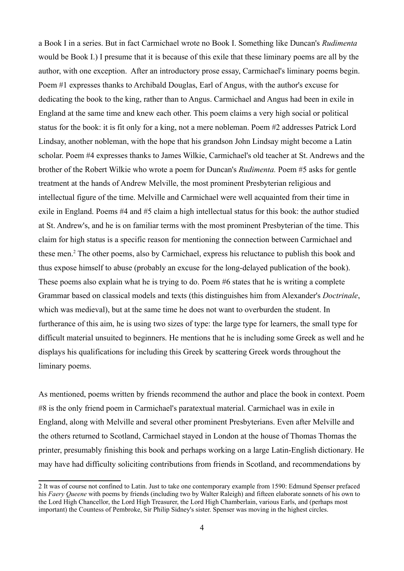a Book I in a series. But in fact Carmichael wrote no Book I. Something like Duncan's *Rudimenta* would be Book I.) I presume that it is because of this exile that these liminary poems are all by the author, with one exception. After an introductory prose essay, Carmichael's liminary poems begin. Poem #1 expresses thanks to Archibald Douglas, Earl of Angus, with the author's excuse for dedicating the book to the king, rather than to Angus. Carmichael and Angus had been in exile in England at the same time and knew each other. This poem claims a very high social or political status for the book: it is fit only for a king, not a mere nobleman. Poem #2 addresses Patrick Lord Lindsay, another nobleman, with the hope that his grandson John Lindsay might become a Latin scholar. Poem #4 expresses thanks to James Wilkie, Carmichael's old teacher at St. Andrews and the brother of the Robert Wilkie who wrote a poem for Duncan's *Rudimenta.* Poem #5 asks for gentle treatment at the hands of Andrew Melville, the most prominent Presbyterian religious and intellectual figure of the time. Melville and Carmichael were well acquainted from their time in exile in England. Poems #4 and #5 claim a high intellectual status for this book: the author studied at St. Andrew's, and he is on familiar terms with the most prominent Presbyterian of the time. This claim for high status is a specific reason for mentioning the connection between Carmichael and these men. <sup>2</sup> The other poems, also by Carmichael, express his reluctance to publish this book and thus expose himself to abuse (probably an excuse for the long-delayed publication of the book). These poems also explain what he is trying to do. Poem #6 states that he is writing a complete Grammar based on classical models and texts (this distinguishes him from Alexander's *Doctrinale*, which was medieval), but at the same time he does not want to overburden the student. In furtherance of this aim, he is using two sizes of type: the large type for learners, the small type for difficult material unsuited to beginners. He mentions that he is including some Greek as well and he displays his qualifications for including this Greek by scattering Greek words throughout the liminary poems.

As mentioned, poems written by friends recommend the author and place the book in context. Poem #8 is the only friend poem in Carmichael's paratextual material. Carmichael was in exile in England, along with Melville and several other prominent Presbyterians. Even after Melville and the others returned to Scotland, Carmichael stayed in London at the house of Thomas Thomas the printer, presumably finishing this book and perhaps working on a large Latin-English dictionary. He may have had difficulty soliciting contributions from friends in Scotland, and recommendations by

<sup>2</sup> It was of course not confined to Latin. Just to take one contemporary example from 1590: Edmund Spenser prefaced his *Faery Queene* with poems by friends (including two by Walter Raleigh) and fifteen elaborate sonnets of his own to the Lord High Chancellor, the Lord High Treasurer, the Lord High Chamberlain, various Earls, and (perhaps most important) the Countess of Pembroke, Sir Philip Sidney's sister. Spenser was moving in the highest circles.